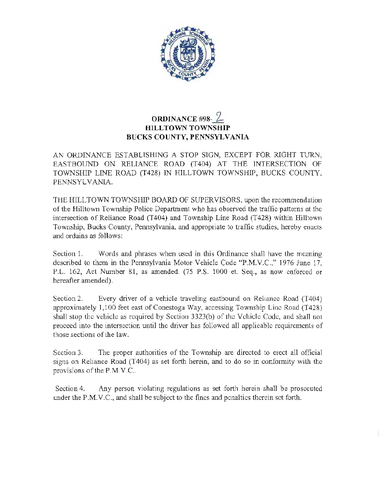

## **ORDINANCE #98-2 HILLTOWN TOWNSHIP BUCKS COUNTY, PENNSYLVANIA**

AN ORDINANCE ESTABLISHING A STOP SIGN, EXCEPT FOR RIGHT TURN, EASTBOUND ON RELIANCE ROAD (T404) AT THE INTERSECTION OF TOWNSHIP LINE ROAD (T428) IN HILLTOWN TOWNSHIP, BUCKS COUNTY, PENNSYLVANIA.

THE HILLTOWN TOWNSHIP BOARD OF SUPERVISORS, upon the recommendation of the Hilltown Township Police Department who has observed the traffic patterns at the intersection of Reliance Road (T404) and Township Line Road (T428) within Hilltown Township, Bucks County, Pennsylvania, and appropriate to traffic studies, hereby enacts and ordains as follows:

Section 1. Words and phrases when used in this Ordinance shall have the meaning described to them in the Pennsylvania Motor Vehicle Code "P.M.V.C.," 1976 June 17, P.L. 162, Act Number 81, as amended. (75 P.S. 1000 et. Seq., as now enforced or hereafter amended).

Section 2. Every driver of a vehicle traveling eastbound on Reliance Road (T404) approximately 1,100 feet east of Conestoga Way, accessing Township Line Road (T428) shall stop the vehicle as required by Section 3323(b) of the Vehicle Code, and shall not proceed into the intersection until the driver has followed all applicable requirements of those sections of the law.

Section 3. The proper authorities of the Township are directed to erect all official signs on Reliance Road (T404) as set forth herein, and to do so in conformity with the provisions of the P.M.V.C..

Section 4. Any person violating regulations as set forth herein shall be prosecuted under the P.M.V.C., and shall be subject to the fines and penalties therein set forth.